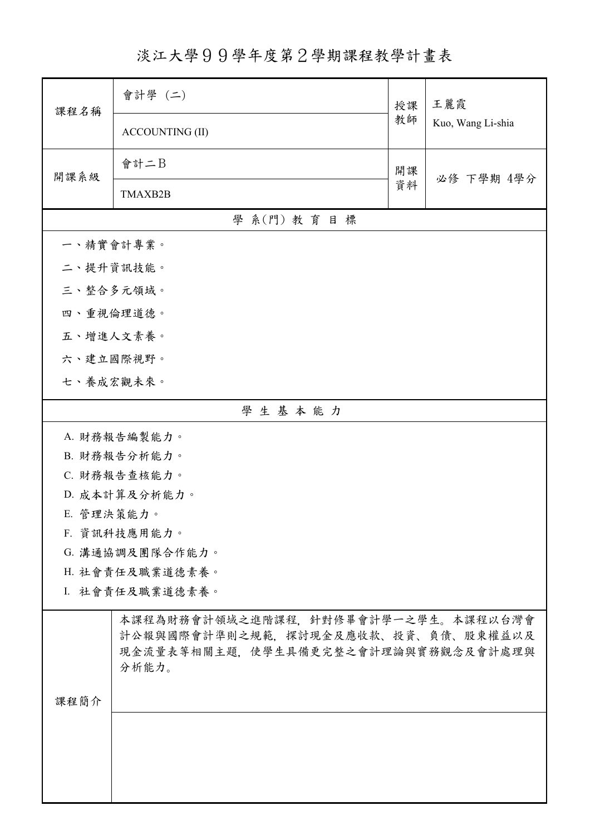淡江大學99學年度第2學期課程教學計畫表

| 課程名稱            | 會計學 (二)                                      | 授課       | 王麗霞<br>Kuo, Wang Li-shia |  |  |
|-----------------|----------------------------------------------|----------|--------------------------|--|--|
|                 | <b>ACCOUNTING (II)</b>                       | 教師       |                          |  |  |
| 開課系級            | 會計二B                                         | 開課<br>資料 | 必修 下學期 4學分               |  |  |
|                 | TMAXB2B                                      |          |                          |  |  |
|                 | 學 系(門) 教育目標                                  |          |                          |  |  |
| 一、精實會計專業。       |                                              |          |                          |  |  |
| 二、提升資訊技能。       |                                              |          |                          |  |  |
| 三、整合多元領域。       |                                              |          |                          |  |  |
| 四、重視倫理道德。       |                                              |          |                          |  |  |
| 五、增進人文素養。       |                                              |          |                          |  |  |
| 六、建立國際視野。       |                                              |          |                          |  |  |
| 七、養成宏觀未來。       |                                              |          |                          |  |  |
| 學生基本能力          |                                              |          |                          |  |  |
| A. 財務報告編製能力。    |                                              |          |                          |  |  |
|                 | B. 財務報告分析能力。                                 |          |                          |  |  |
| C. 財務報告查核能力。    |                                              |          |                          |  |  |
|                 | D. 成本計算及分析能力。                                |          |                          |  |  |
| E. 管理決策能力。      |                                              |          |                          |  |  |
|                 | F. 資訊科技應用能力。                                 |          |                          |  |  |
|                 | G. 溝通協調及團隊合作能力。                              |          |                          |  |  |
|                 | H. 社會責任及職業道德素養。                              |          |                          |  |  |
| I. 社會責任及職業道德素養。 |                                              |          |                          |  |  |
|                 | 本課程為財務會計領域之進階課程、針對修畢會計學一之學生。本課程以台灣會          |          |                          |  |  |
|                 | 計公報與國際會計準則之規範,探討現金及應收款、投資、負債、股東權益以及          |          |                          |  |  |
|                 | 現金流量表等相關主題,使學生具備更完整之會計理論與實務觀念及會計處理與<br>分析能力。 |          |                          |  |  |
|                 |                                              |          |                          |  |  |
| 課程簡介            |                                              |          |                          |  |  |
|                 |                                              |          |                          |  |  |
|                 |                                              |          |                          |  |  |
|                 |                                              |          |                          |  |  |
|                 |                                              |          |                          |  |  |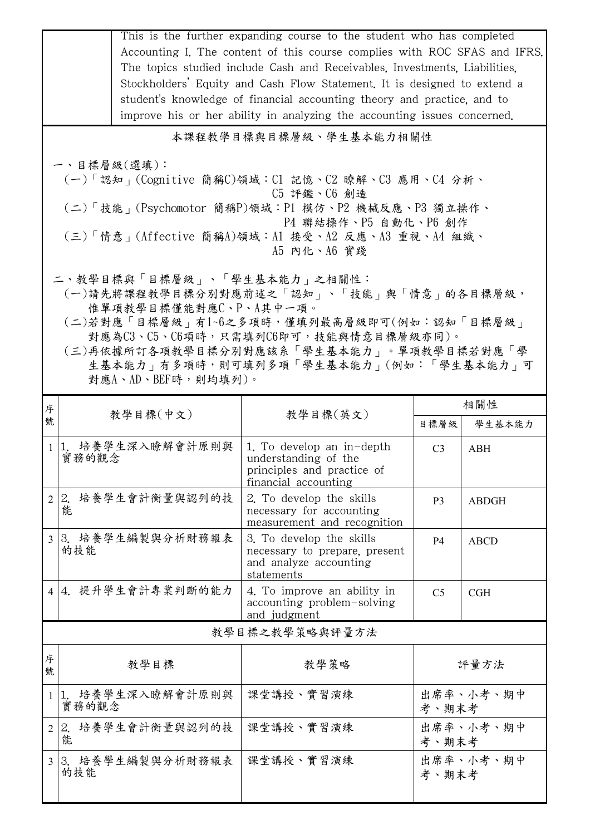|                                                                                          | This is the further expanding course to the student who has completed<br>Accounting I. The content of this course complies with ROC SFAS and IFRS.  |                                                                                                         |                    |              |  |  |  |
|------------------------------------------------------------------------------------------|-----------------------------------------------------------------------------------------------------------------------------------------------------|---------------------------------------------------------------------------------------------------------|--------------------|--------------|--|--|--|
|                                                                                          | The topics studied include Cash and Receivables, Investments, Liabilities,                                                                          |                                                                                                         |                    |              |  |  |  |
|                                                                                          | Stockholders' Equity and Cash Flow Statement. It is designed to extend a<br>student's knowledge of financial accounting theory and practice, and to |                                                                                                         |                    |              |  |  |  |
|                                                                                          |                                                                                                                                                     |                                                                                                         |                    |              |  |  |  |
| improve his or her ability in analyzing the accounting issues concerned.                 |                                                                                                                                                     |                                                                                                         |                    |              |  |  |  |
| 本課程教學目標與目標層級、學生基本能力相關性                                                                   |                                                                                                                                                     |                                                                                                         |                    |              |  |  |  |
| 一、目標層級(選填):                                                                              |                                                                                                                                                     |                                                                                                         |                    |              |  |  |  |
|                                                                                          | (一)「認知」(Cognitive 簡稱C)領域:C1 記憶、C2 瞭解、C3 應用、C4 分析、<br>C5 評鑑、C6 創造                                                                                    |                                                                                                         |                    |              |  |  |  |
|                                                                                          | (二)「技能」(Psychomotor 簡稱P)領域:P1 模仿、P2 機械反應、P3 獨立操作、                                                                                                   |                                                                                                         |                    |              |  |  |  |
| P4 聯結操作、P5 自動化、P6 創作<br>(三)「情意」(Affective 簡稱A)領域:A1 接受、A2 反應、A3 重視、A4 組織、<br>A5 内化、A6 實踐 |                                                                                                                                                     |                                                                                                         |                    |              |  |  |  |
|                                                                                          | 二、教學目標與「目標層級」、「學生基本能力」之相關性:                                                                                                                         |                                                                                                         |                    |              |  |  |  |
|                                                                                          | (一)請先將課程教學目標分別對應前述之「認知」、「技能」與「情意」的各目標層級,<br>惟單項教學目標僅能對應C、P、A其中一項。                                                                                   |                                                                                                         |                    |              |  |  |  |
|                                                                                          | (二)若對應「目標層級」有1~6之多項時,僅填列最高層級即可(例如:認知「目標層級」                                                                                                          |                                                                                                         |                    |              |  |  |  |
|                                                                                          |                                                                                                                                                     | 對應為C3、C5、C6項時,只需填列C6即可,技能與情意目標層級亦同)。                                                                    |                    |              |  |  |  |
|                                                                                          | (三)再依據所訂各項教學目標分別對應該系「學生基本能力」。單項教學目標若對應「學                                                                                                            | 生基本能力」有多項時,則可填列多項「學生基本能力」(例如:「學生基本能力」可                                                                  |                    |              |  |  |  |
|                                                                                          | 對應A、AD、BEF時,則均填列)。                                                                                                                                  |                                                                                                         |                    |              |  |  |  |
| 序                                                                                        |                                                                                                                                                     |                                                                                                         |                    | 相關性          |  |  |  |
| 號                                                                                        | 教學目標(中文)                                                                                                                                            | 教學目標(英文)                                                                                                | 目標層級               | 學生基本能力       |  |  |  |
|                                                                                          | 1 1. 培養學生深入瞭解會計原則與<br>實務的觀念                                                                                                                         | 1. To develop an in-depth<br>understanding of the<br>principles and practice of<br>financial accounting | C <sub>3</sub>     | <b>ABH</b>   |  |  |  |
| $\overline{2}$                                                                           | 2. 培養學生會計衡量與認列的技<br>能                                                                                                                               | 2. To develop the skills<br>necessary for accounting<br>measurement and recognition                     | P <sub>3</sub>     | <b>ABDGH</b> |  |  |  |
| $\overline{3}$                                                                           | 3. 培養學生編製與分析財務報表                                                                                                                                    | 3. To develop the skills                                                                                | P <sub>4</sub>     | <b>ABCD</b>  |  |  |  |
|                                                                                          | 的技能                                                                                                                                                 | necessary to prepare, present<br>and analyze accounting<br>statements                                   |                    |              |  |  |  |
| $\overline{4}$                                                                           | 4. 提升學生會計專業判斷的能力                                                                                                                                    | 4. To improve an ability in<br>accounting problem-solving<br>and judgment                               | C <sub>5</sub>     | CGH          |  |  |  |
|                                                                                          | 教學目標之教學策略與評量方法                                                                                                                                      |                                                                                                         |                    |              |  |  |  |
| 序                                                                                        | 教學目標                                                                                                                                                | 教學策略                                                                                                    |                    | 評量方法         |  |  |  |
| 號                                                                                        |                                                                                                                                                     |                                                                                                         |                    |              |  |  |  |
| $\mathbf{1}$                                                                             | 1.培養學生深入瞭解會計原則與<br>實務的觀念                                                                                                                            | 課堂講授、實習演練                                                                                               | 出席率、小考、期中<br>考、期末考 |              |  |  |  |
| $\overline{2}$                                                                           | 培養學生會計衡量與認列的技<br>2.<br>能                                                                                                                            | 課堂講授、實習演練                                                                                               | 出席率、小考、期中<br>考、期末考 |              |  |  |  |
| 3 <sup>1</sup>                                                                           | 3.培養學生編製與分析財務報表<br>的技能                                                                                                                              | 課堂講授、實習演練                                                                                               | 出席率、小考、期中<br>考、期末考 |              |  |  |  |
|                                                                                          |                                                                                                                                                     |                                                                                                         |                    |              |  |  |  |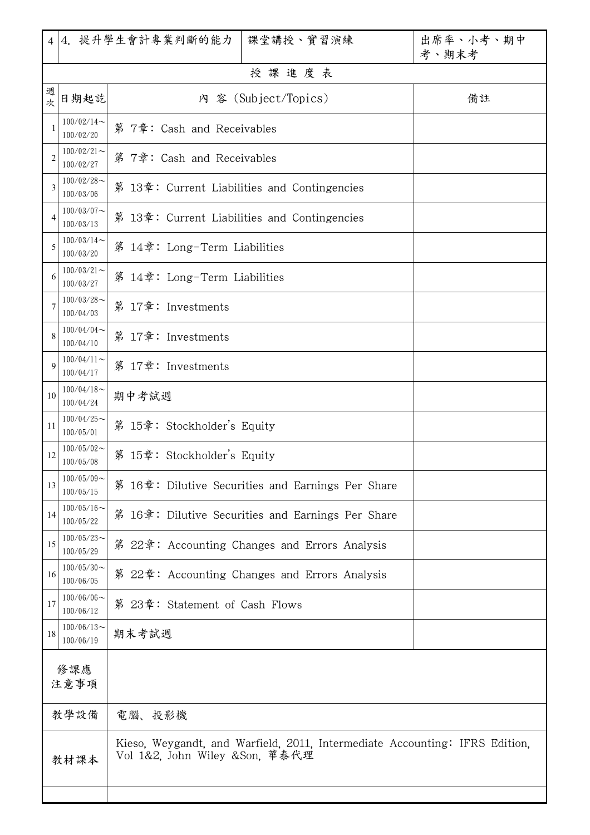|                                                                                                                       |                            | 4 4. 提升學生會計專業判斷的能力<br>課堂講授、實習演練                   | 出席率、小考、期中<br>考、期末考 |
|-----------------------------------------------------------------------------------------------------------------------|----------------------------|---------------------------------------------------|--------------------|
|                                                                                                                       |                            | 授課進度表                                             |                    |
| 週<br>次                                                                                                                | 日期起訖                       | 內 容 (Subject/Topics)                              | 備註                 |
| 1                                                                                                                     | $100/02/14$ ~<br>100/02/20 | 第 7章: Cash and Receivables                        |                    |
| $\overline{2}$                                                                                                        | $100/02/21$ ~<br>100/02/27 | 第 7章: Cash and Receivables                        |                    |
| 3                                                                                                                     | $100/02/28$ ~<br>100/03/06 | 第 13章: Current Liabilities and Contingencies      |                    |
| $\overline{4}$                                                                                                        | $100/03/07$ ~<br>100/03/13 | 第 13章: Current Liabilities and Contingencies      |                    |
| 5                                                                                                                     | $100/03/14$ ~<br>100/03/20 | 第 14章: Long-Term Liabilities                      |                    |
| 6                                                                                                                     | $100/03/21$ ~<br>100/03/27 | 第 14章: Long-Term Liabilities                      |                    |
| $\tau$                                                                                                                | $100/03/28$ ~<br>100/04/03 | 第 17章: Investments                                |                    |
| 8                                                                                                                     | $100/04/04$ ~<br>100/04/10 | 第 17章: Investments                                |                    |
| 9                                                                                                                     | $100/04/11$ ~<br>100/04/17 | 第 17章: Investments                                |                    |
| 10                                                                                                                    | $100/04/18$ ~<br>100/04/24 | 期中考試週                                             |                    |
| 11                                                                                                                    | $100/04/25$ ~<br>100/05/01 | 第 15章: Stockholder's Equity                       |                    |
| 12                                                                                                                    | $100/05/02$ ~<br>100/05/08 | 第 15章: Stockholder's Equity                       |                    |
| 13                                                                                                                    | $100/05/09$ ~<br>100/05/15 | 第 16章: Dilutive Securities and Earnings Per Share |                    |
| 14                                                                                                                    | $100/05/16$ ~<br>100/05/22 | 第 16章: Dilutive Securities and Earnings Per Share |                    |
| 15                                                                                                                    | $100/05/23$ ~<br>100/05/29 | 第 22章: Accounting Changes and Errors Analysis     |                    |
| 16                                                                                                                    | $100/05/30$ ~<br>100/06/05 | 第 22章:Accounting Changes and Errors Analysis      |                    |
| 17                                                                                                                    | $100/06/06$ ~<br>100/06/12 | 第 23章: Statement of Cash Flows                    |                    |
| 18                                                                                                                    | $100/06/13$ ~<br>100/06/19 | 期末考試週                                             |                    |
|                                                                                                                       | 修課應                        |                                                   |                    |
| 注意事項                                                                                                                  |                            |                                                   |                    |
|                                                                                                                       | 教學設備                       | 電腦、投影機                                            |                    |
| Kieso, Weygandt, and Warfield, 2011, Intermediate Accounting: IFRS Edition,<br>Vol 1&2, John Wiley &Son, 華泰代理<br>教材課本 |                            |                                                   |                    |